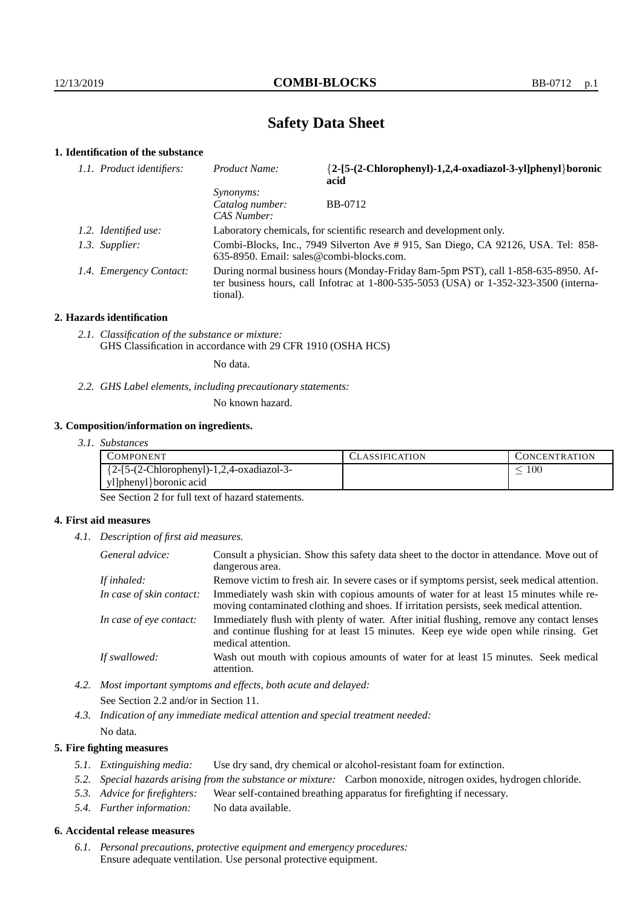# **Safety Data Sheet**

## **1. Identification of the substance**

| 1.1. Product identifiers: | Product Name:                                                                                                                                                                               | {2-[5-(2-Chlorophenyl)-1,2,4-oxadiazol-3-yl]phenyl}boronic<br>acid |  |
|---------------------------|---------------------------------------------------------------------------------------------------------------------------------------------------------------------------------------------|--------------------------------------------------------------------|--|
|                           | <i>Synonyms:</i><br>Catalog number:<br>CAS Number:                                                                                                                                          | <b>BB-0712</b>                                                     |  |
| 1.2. Identified use:      | Laboratory chemicals, for scientific research and development only.                                                                                                                         |                                                                    |  |
| 1.3. Supplier:            | Combi-Blocks, Inc., 7949 Silverton Ave # 915, San Diego, CA 92126, USA. Tel: 858-<br>$635-8950$ . Email: sales@combi-blocks.com.                                                            |                                                                    |  |
| 1.4. Emergency Contact:   | During normal business hours (Monday-Friday 8am-5pm PST), call 1-858-635-8950. Af-<br>ter business hours, call Infotrac at $1-800-535-5053$ (USA) or $1-352-323-3500$ (interna-<br>tional). |                                                                    |  |

#### **2. Hazards identification**

*2.1. Classification of the substance or mixture:* GHS Classification in accordance with 29 CFR 1910 (OSHA HCS)

No data.

*2.2. GHS Label elements, including precautionary statements:*

No known hazard.

#### **3. Composition/information on ingredients.**

*3.1. Substances*

| COMPONENT.                                   | <b>ASSIFICATION</b> | CONCENTRATION |
|----------------------------------------------|---------------------|---------------|
| ${2-[5-(2-Chloropheny)]-1,2,4-oxadiazol-3-}$ |                     | 100           |
| yl]phenyl}boronic acid                       |                     |               |

See Section 2 for full text of hazard statements.

#### **4. First aid measures**

*4.1. Description of first aid measures.*

| General advice:          | Consult a physician. Show this safety data sheet to the doctor in attendance. Move out of<br>dangerous area.                                                                                            |
|--------------------------|---------------------------------------------------------------------------------------------------------------------------------------------------------------------------------------------------------|
| If inhaled:              | Remove victim to fresh air. In severe cases or if symptoms persist, seek medical attention.                                                                                                             |
| In case of skin contact: | Immediately wash skin with copious amounts of water for at least 15 minutes while re-<br>moving contaminated clothing and shoes. If irritation persists, seek medical attention.                        |
| In case of eye contact:  | Immediately flush with plenty of water. After initial flushing, remove any contact lenses<br>and continue flushing for at least 15 minutes. Keep eye wide open while rinsing. Get<br>medical attention. |
| If swallowed:            | Wash out mouth with copious amounts of water for at least 15 minutes. Seek medical<br>attention.                                                                                                        |

*4.2. Most important symptoms and effects, both acute and delayed:* See Section 2.2 and/or in Section 11.

*4.3. Indication of any immediate medical attention and special treatment needed:* No data.

#### **5. Fire fighting measures**

- *5.1. Extinguishing media:* Use dry sand, dry chemical or alcohol-resistant foam for extinction.
- *5.2. Special hazards arising from the substance or mixture:* Carbon monoxide, nitrogen oxides, hydrogen chloride.
- *5.3. Advice for firefighters:* Wear self-contained breathing apparatus for firefighting if necessary.
- *5.4. Further information:* No data available.

## **6. Accidental release measures**

*6.1. Personal precautions, protective equipment and emergency procedures:* Ensure adequate ventilation. Use personal protective equipment.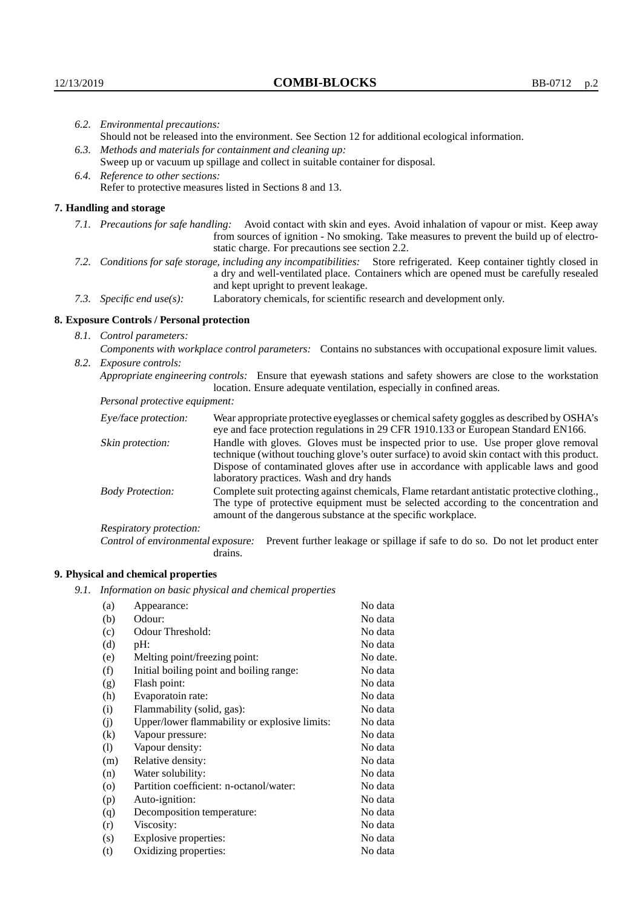|                                                                                                                                                                                                        | 6.2. Environmental precautions:                                                                                                                                                                                                                                    |                                                                                                                                                                                |  |  |  |
|--------------------------------------------------------------------------------------------------------------------------------------------------------------------------------------------------------|--------------------------------------------------------------------------------------------------------------------------------------------------------------------------------------------------------------------------------------------------------------------|--------------------------------------------------------------------------------------------------------------------------------------------------------------------------------|--|--|--|
|                                                                                                                                                                                                        | Should not be released into the environment. See Section 12 for additional ecological information.<br>6.3. Methods and materials for containment and cleaning up:                                                                                                  |                                                                                                                                                                                |  |  |  |
|                                                                                                                                                                                                        |                                                                                                                                                                                                                                                                    | Sweep up or vacuum up spillage and collect in suitable container for disposal.                                                                                                 |  |  |  |
|                                                                                                                                                                                                        | 6.4. Reference to other sections:<br>Refer to protective measures listed in Sections 8 and 13.                                                                                                                                                                     |                                                                                                                                                                                |  |  |  |
|                                                                                                                                                                                                        | 7. Handling and storage                                                                                                                                                                                                                                            |                                                                                                                                                                                |  |  |  |
|                                                                                                                                                                                                        | 7.1. Precautions for safe handling: Avoid contact with skin and eyes. Avoid inhalation of vapour or mist. Keep away<br>from sources of ignition - No smoking. Take measures to prevent the build up of electro-<br>static charge. For precautions see section 2.2. |                                                                                                                                                                                |  |  |  |
|                                                                                                                                                                                                        | 7.2. Conditions for safe storage, including any incompatibilities: Store refrigerated. Keep container tightly closed in<br>a dry and well-ventilated place. Containers which are opened must be carefully resealed<br>and kept upright to prevent leakage.         |                                                                                                                                                                                |  |  |  |
|                                                                                                                                                                                                        | Laboratory chemicals, for scientific research and development only.<br>7.3. Specific end use(s):                                                                                                                                                                   |                                                                                                                                                                                |  |  |  |
|                                                                                                                                                                                                        | 8. Exposure Controls / Personal protection                                                                                                                                                                                                                         |                                                                                                                                                                                |  |  |  |
|                                                                                                                                                                                                        | 8.1. Control parameters:                                                                                                                                                                                                                                           |                                                                                                                                                                                |  |  |  |
|                                                                                                                                                                                                        | Components with workplace control parameters: Contains no substances with occupational exposure limit values.                                                                                                                                                      |                                                                                                                                                                                |  |  |  |
|                                                                                                                                                                                                        | 8.2. Exposure controls:                                                                                                                                                                                                                                            |                                                                                                                                                                                |  |  |  |
|                                                                                                                                                                                                        | Appropriate engineering controls: Ensure that eyewash stations and safety showers are close to the workstation<br>location. Ensure adequate ventilation, especially in confined areas.                                                                             |                                                                                                                                                                                |  |  |  |
|                                                                                                                                                                                                        | Personal protective equipment:                                                                                                                                                                                                                                     |                                                                                                                                                                                |  |  |  |
| Eye/face protection:                                                                                                                                                                                   |                                                                                                                                                                                                                                                                    | Wear appropriate protective eyeglasses or chemical safety goggles as described by OSHA's<br>eye and face protection regulations in 29 CFR 1910.133 or European Standard EN166. |  |  |  |
| Handle with gloves. Gloves must be inspected prior to use. Use proper glove removal<br>Skin protection:<br>technique (without touching glove's outer surface) to avoid skin contact with this product. |                                                                                                                                                                                                                                                                    |                                                                                                                                                                                |  |  |  |

## **8. Exposure Controls / Personal protection**

| Eye/face protection:               | Wear appropriate protective eyeglasses or chemical safety goggles as described by OSHA's<br>eye and face protection regulations in 29 CFR 1910.133 or European Standard EN166.                                                                                                                                         |                                                                                |  |
|------------------------------------|------------------------------------------------------------------------------------------------------------------------------------------------------------------------------------------------------------------------------------------------------------------------------------------------------------------------|--------------------------------------------------------------------------------|--|
| Skin protection:                   | Handle with gloves. Gloves must be inspected prior to use. Use proper glove removal<br>technique (without touching glove's outer surface) to avoid skin contact with this product.<br>Dispose of contaminated gloves after use in accordance with applicable laws and good<br>laboratory practices. Wash and dry hands |                                                                                |  |
| <b>Body Protection:</b>            | Complete suit protecting against chemicals, Flame retardant antistatic protective clothing.,<br>The type of protective equipment must be selected according to the concentration and<br>amount of the dangerous substance at the specific workplace.                                                                   |                                                                                |  |
| Respiratory protection:            |                                                                                                                                                                                                                                                                                                                        |                                                                                |  |
| Control of environmental exposure: | drains.                                                                                                                                                                                                                                                                                                                | Prevent further leakage or spillage if safe to do so. Do not let product enter |  |

## **9. Physical and chemical properties**

*9.1. Information on basic physical and chemical properties*

| (a)                        | Appearance:                                   | No data  |
|----------------------------|-----------------------------------------------|----------|
| (b)                        | Odour:                                        | No data  |
| (c)                        | Odour Threshold:                              | No data  |
| (d)                        | pH:                                           | No data  |
| (e)                        | Melting point/freezing point:                 | No date. |
| (f)                        | Initial boiling point and boiling range:      | No data  |
| (g)                        | Flash point:                                  | No data  |
| (h)                        | Evaporatoin rate:                             | No data  |
| (i)                        | Flammability (solid, gas):                    | No data  |
| (j)                        | Upper/lower flammability or explosive limits: | No data  |
| $\rm(k)$                   | Vapour pressure:                              | No data  |
| $\left( \mathrm{l}\right)$ | Vapour density:                               | No data  |
| (m)                        | Relative density:                             | No data  |
| (n)                        | Water solubility:                             | No data  |
| $\circ$                    | Partition coefficient: n-octanol/water:       | No data  |
| (p)                        | Auto-ignition:                                | No data  |
| (q)                        | Decomposition temperature:                    | No data  |
| (r)                        | Viscosity:                                    | No data  |
| (s)                        | Explosive properties:                         | No data  |
| (t)                        | Oxidizing properties:                         | No data  |